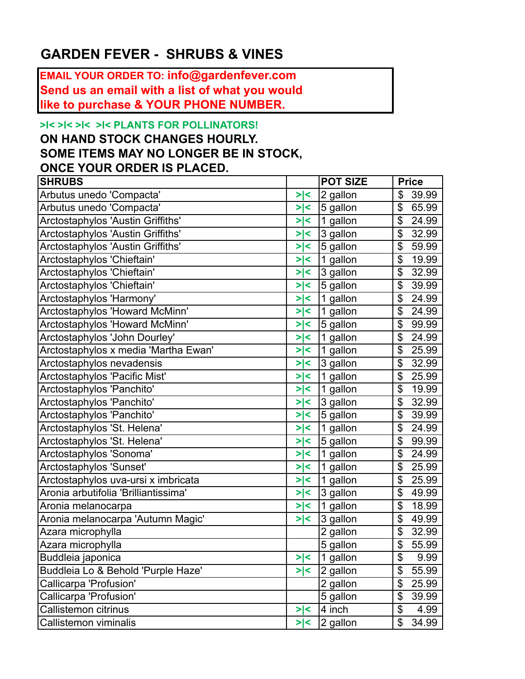## **GARDEN FEVER - SHRUBS & VINES**

**EMAIL YOUR ORDER TO: info@gardenfever.com Send us an email with a list of what you would like to purchase & YOUR PHONE NUMBER.**

## **>l< >l< >l< >l< PLANTS FOR POLLINATORS!**

## **ON HAND STOCK CHANGES HOURLY. SOME ITEMS MAY NO LONGER BE IN STOCK, ONCE YOUR ORDER IS PLACED.**

| <b>SHRUBS</b>                        |  |     | <b>POT SIZE</b> | <b>Price</b>              |       |
|--------------------------------------|--|-----|-----------------|---------------------------|-------|
| Arbutus unedo 'Compacta'             |  | > < | 2 gallon        | \$                        | 39.99 |
| Arbutus unedo 'Compacta'             |  | >∣< | 5 gallon        | \$                        | 65.99 |
| Arctostaphylos 'Austin Griffiths'    |  | >∣< | 1 gallon        | \$                        | 24.99 |
| Arctostaphylos 'Austin Griffiths'    |  | >∣< | 3 gallon        | \$                        | 32.99 |
| Arctostaphylos 'Austin Griffiths'    |  | >∣< | 5 gallon        | \$                        | 59.99 |
| Arctostaphylos 'Chieftain'           |  | > < | 1 gallon        | \$                        | 19.99 |
| Arctostaphylos 'Chieftain'           |  | > < | 3 gallon        | \$                        | 32.99 |
| Arctostaphylos 'Chieftain'           |  | >∣< | 5 gallon        | \$                        | 39.99 |
| Arctostaphylos 'Harmony'             |  | >∣< | 1 gallon        | \$                        | 24.99 |
| Arctostaphylos 'Howard McMinn'       |  | >∣< | 1 gallon        | \$                        | 24.99 |
| Arctostaphylos 'Howard McMinn'       |  | > < | 5 gallon        | \$                        | 99.99 |
| Arctostaphylos 'John Dourley'        |  | > < | 1 gallon        | \$                        | 24.99 |
| Arctostaphylos x media 'Martha Ewan' |  | >∣< | 1 gallon        | \$                        | 25.99 |
| Arctostaphylos nevadensis            |  | >∣< | 3 gallon        | \$                        | 32.99 |
| Arctostaphylos 'Pacific Mist'        |  | >∣< | 1 gallon        | \$                        | 25.99 |
| Arctostaphylos 'Panchito'            |  | >∣< | 1 gallon        | \$                        | 19.99 |
| Arctostaphylos 'Panchito'            |  | >∣< | 3 gallon        | \$                        | 32.99 |
| Arctostaphylos 'Panchito'            |  | > < | 5 gallon        | \$                        | 39.99 |
| Arctostaphylos 'St. Helena'          |  | >∣< | 1 gallon        | \$                        | 24.99 |
| Arctostaphylos 'St. Helena'          |  | > < | 5 gallon        | \$                        | 99.99 |
| Arctostaphylos 'Sonoma'              |  | > < | 1 gallon        | \$                        | 24.99 |
| Arctostaphylos 'Sunset'              |  | >∣< | 1 gallon        | \$                        | 25.99 |
| Arctostaphylos uva-ursi x imbricata  |  | >∣< | 1 gallon        | \$                        | 25.99 |
| Aronia arbutifolia 'Brilliantissima' |  | >∣< | 3 gallon        | \$                        | 49.99 |
| Aronia melanocarpa                   |  | >∣< | 1 gallon        | \$                        | 18.99 |
| Aronia melanocarpa 'Autumn Magic'    |  | > < | 3 gallon        | \$                        | 49.99 |
| Azara microphylla                    |  |     | 2 gallon        | \$                        | 32.99 |
| Azara microphylla                    |  |     | 5 gallon        | \$                        | 55.99 |
| Buddleia japonica                    |  | > < | 1 gallon        | $\mathfrak{L}$            | 9.99  |
| Buddleia Lo & Behold 'Purple Haze'   |  | > < | 2 gallon        | $\mathcal{L}$             | 55.99 |
| Callicarpa 'Profusion'               |  |     | 2 gallon        | \$                        | 25.99 |
| Callicarpa 'Profusion'               |  |     | 5 gallon        | $\boldsymbol{\mathsf{S}}$ | 39.99 |
| Callistemon citrinus                 |  | > < | 4 inch          | $\overline{\$}$           | 4.99  |
| Callistemon viminalis                |  | >∣< | $2$ gallon      | $\mathcal{L}$             | 34.99 |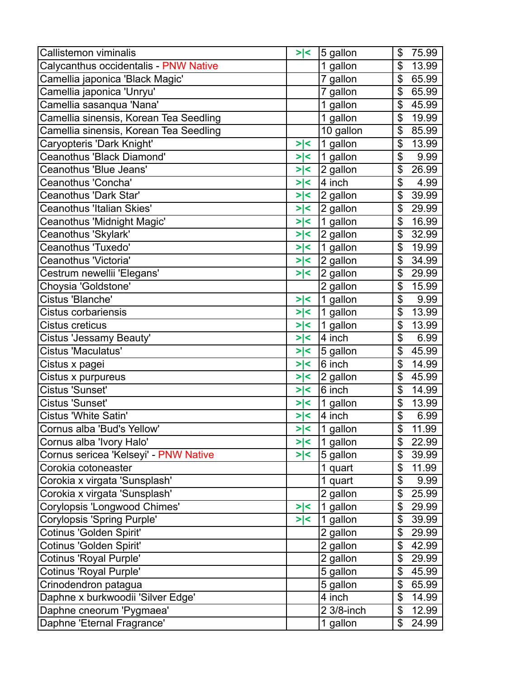| Callistemon viminalis                  | > <     | 5 gallon   | \$<br>75.99 |
|----------------------------------------|---------|------------|-------------|
| Calycanthus occidentalis - PNW Native  |         | 1 gallon   | \$<br>13.99 |
| Camellia japonica 'Black Magic'        |         | 7 gallon   | \$<br>65.99 |
| Camellia japonica 'Unryu'              |         | 7 gallon   | \$<br>65.99 |
| Camellia sasanqua 'Nana'               |         | 1 gallon   | \$<br>45.99 |
| Camellia sinensis, Korean Tea Seedling |         | 1 gallon   | \$<br>19.99 |
| Camellia sinensis, Korean Tea Seedling |         | 10 gallon  | \$<br>85.99 |
| Caryopteris 'Dark Knight'              | > <     | 1 gallon   | \$<br>13.99 |
| Ceanothus 'Black Diamond'              | > <     | 1 gallon   | \$<br>9.99  |
| Ceanothus 'Blue Jeans'                 | > <     | 2 gallon   | \$<br>26.99 |
| Ceanothus 'Concha'                     | > <     | 4 inch     | \$<br>4.99  |
| Ceanothus 'Dark Star'                  | > <     | 2 gallon   | \$<br>39.99 |
| Ceanothus 'Italian Skies'              | > <     | 2 gallon   | \$<br>29.99 |
| Ceanothus 'Midnight Magic'             | > <     | 1 gallon   | \$<br>16.99 |
| Ceanothus 'Skylark'                    | > <     | 2 gallon   | \$<br>32.99 |
| Ceanothus 'Tuxedo'                     | > <     | 1 gallon   | \$<br>19.99 |
| Ceanothus 'Victoria'                   | > <     | 2 gallon   | \$<br>34.99 |
| Cestrum newellii 'Elegans'             | >∣<     | 2 gallon   | \$<br>29.99 |
| Choysia 'Goldstone'                    |         | 2 gallon   | \$<br>15.99 |
| Cistus 'Blanche'                       | >∣<     | 1 gallon   | \$<br>9.99  |
| <b>Cistus corbariensis</b>             | > <     | 1 gallon   | \$<br>13.99 |
| Cistus creticus                        | > <     | 1 gallon   | \$<br>13.99 |
| Cistus 'Jessamy Beauty'                | >∣<     | 4 inch     | \$<br>6.99  |
| <b>Cistus 'Maculatus'</b>              | >∣<     | 5 gallon   | \$<br>45.99 |
| Cistus x pagei                         | > <     | 6 inch     | \$<br>14.99 |
| Cistus x purpureus                     | >∣<     | 2 gallon   | \$<br>45.99 |
| Cistus 'Sunset'                        | > <     | 6 inch     | \$<br>14.99 |
| Cistus 'Sunset'                        | >∣<     | 1 gallon   | \$<br>13.99 |
| Cistus 'White Satin'                   | > <     | $ 4$ inch  | \$<br>6.99  |
| Cornus alba 'Bud's Yellow'             | >∣<     | 1 gallon   | \$<br>11.99 |
| Cornus alba 'Ivory Halo'               | >∣<     | 1 gallon   | \$<br>22.99 |
| Cornus sericea 'Kelseyi' - PNW Native  | $>\, <$ | 5 gallon   | \$<br>39.99 |
| Corokia cotoneaster                    |         | 1 quart    | \$<br>11.99 |
| Corokia x virgata 'Sunsplash'          |         | 1 quart    | \$<br>9.99  |
| Corokia x virgata 'Sunsplash'          |         | 2 gallon   | \$<br>25.99 |
| Corylopsis 'Longwood Chimes'           | >∣<     | 1 gallon   | \$<br>29.99 |
| <b>Corylopsis 'Spring Purple'</b>      | > <     | 1 gallon   | \$<br>39.99 |
| Cotinus 'Golden Spirit'                |         | 2 gallon   | \$<br>29.99 |
| Cotinus 'Golden Spirit'                |         | 2 gallon   | \$<br>42.99 |
| Cotinus 'Royal Purple'                 |         | 2 gallon   | \$<br>29.99 |
| <b>Cotinus 'Royal Purple'</b>          |         | 5 gallon   | \$<br>45.99 |
| Crinodendron patagua                   |         | 5 gallon   | \$<br>65.99 |
| Daphne x burkwoodii 'Silver Edge'      |         | 4 inch     | \$<br>14.99 |
| Daphne cneorum 'Pygmaea'               |         | 2 3/8-inch | \$<br>12.99 |
| Daphne 'Eternal Fragrance'             |         | 1 gallon   | \$<br>24.99 |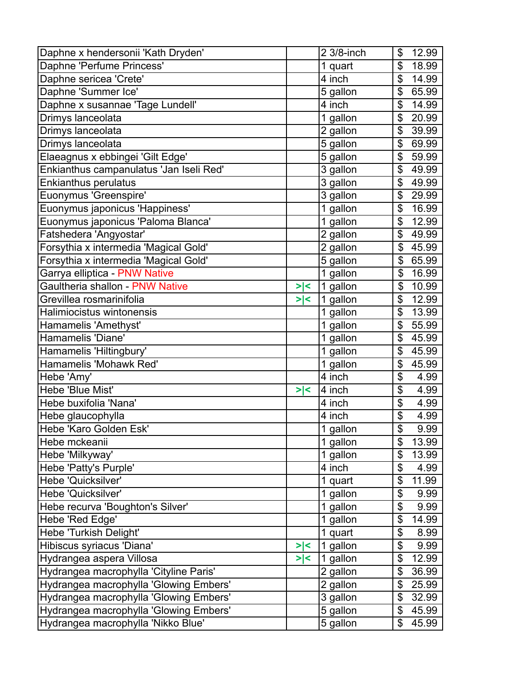| Daphne x hendersonii 'Kath Dryden'      |     | 2 3/8-inch | \$             | 12.99 |
|-----------------------------------------|-----|------------|----------------|-------|
| Daphne 'Perfume Princess'               |     | 1 quart    | \$             | 18.99 |
| Daphne sericea 'Crete'                  |     | 4 inch     | \$             | 14.99 |
| Daphne 'Summer Ice'                     |     | 5 gallon   | \$             | 65.99 |
| Daphne x susannae 'Tage Lundell'        |     | 4 inch     | \$             | 14.99 |
| Drimys lanceolata                       |     | 1 gallon   | \$             | 20.99 |
| Drimys lanceolata                       |     | 2 gallon   | \$             | 39.99 |
| Drimys lanceolata                       |     | 5 gallon   | \$             | 69.99 |
| Elaeagnus x ebbingei 'Gilt Edge'        |     | 5 gallon   | \$             | 59.99 |
| Enkianthus campanulatus 'Jan Iseli Red' |     | 3 gallon   | \$             | 49.99 |
| Enkianthus perulatus                    |     | 3 gallon   | \$             | 49.99 |
| Euonymus 'Greenspire'                   |     | 3 gallon   | \$             | 29.99 |
| Euonymus japonicus 'Happiness'          |     | 1 gallon   | \$             | 16.99 |
| Euonymus japonicus 'Paloma Blanca'      |     | 1 gallon   | \$             | 12.99 |
| Fatshedera 'Angyostar'                  |     | 2 gallon   | \$             | 49.99 |
| Forsythia x intermedia 'Magical Gold'   |     | 2 gallon   | $\mathfrak{S}$ | 45.99 |
| Forsythia x intermedia 'Magical Gold'   |     | 5 gallon   | \$             | 65.99 |
| Garrya elliptica - PNW Native           |     | 1 gallon   | \$             | 16.99 |
| Gaultheria shallon - PNW Native         | > < | 1 gallon   | \$             | 10.99 |
| Grevillea rosmarinifolia                | > < | 1 gallon   | \$             | 12.99 |
| Halimiocistus wintonensis               |     | 1 gallon   | \$             | 13.99 |
| Hamamelis 'Amethyst'                    |     | 1 gallon   | \$             | 55.99 |
| Hamamelis 'Diane'                       |     | 1 gallon   | \$             | 45.99 |
| Hamamelis 'Hiltingbury'                 |     | 1 gallon   | \$             | 45.99 |
| Hamamelis 'Mohawk Red'                  |     | 1 gallon   | \$             | 45.99 |
| Hebe 'Amy'                              |     | 4 inch     | \$             | 4.99  |
| Hebe 'Blue Mist'                        | > < | 4 inch     | \$             | 4.99  |
| Hebe buxifolia 'Nana'                   |     | 4 inch     | \$             | 4.99  |
| Hebe glaucophylla                       |     | 4 inch     | \$             | 4.99  |
| Hebe 'Karo Golden Esk'                  |     | 1 gallon   | \$             | 9.99  |
| Hebe mckeanii                           |     | 1 gallon   | \$             | 13.99 |
| Hebe 'Milkyway'                         |     | 1 gallon   | \$             | 13.99 |
| Hebe 'Patty's Purple'                   |     | 4 inch     | \$             | 4.99  |
| Hebe 'Quicksilver'                      |     | 1 quart    | \$             | 11.99 |
| Hebe 'Quicksilver'                      |     | 1 gallon   | \$             | 9.99  |
| Hebe recurva 'Boughton's Silver'        |     | 1 gallon   | \$             | 9.99  |
| Hebe 'Red Edge'                         |     | 1 gallon   | \$             | 14.99 |
| Hebe 'Turkish Delight'                  |     | 1 quart    | \$             | 8.99  |
| Hibiscus syriacus 'Diana'               | > < | 1 gallon   | \$             | 9.99  |
| Hydrangea aspera Villosa                | >∣< | 1 gallon   | \$             | 12.99 |
| Hydrangea macrophylla 'Cityline Paris'  |     | $2$ gallon | \$             | 36.99 |
| Hydrangea macrophylla 'Glowing Embers'  |     | 2 gallon   | \$             | 25.99 |
| Hydrangea macrophylla 'Glowing Embers'  |     | 3 gallon   | \$             | 32.99 |
| Hydrangea macrophylla 'Glowing Embers'  |     | 5 gallon   | \$             | 45.99 |
| Hydrangea macrophylla 'Nikko Blue'      |     | 5 gallon   | \$             | 45.99 |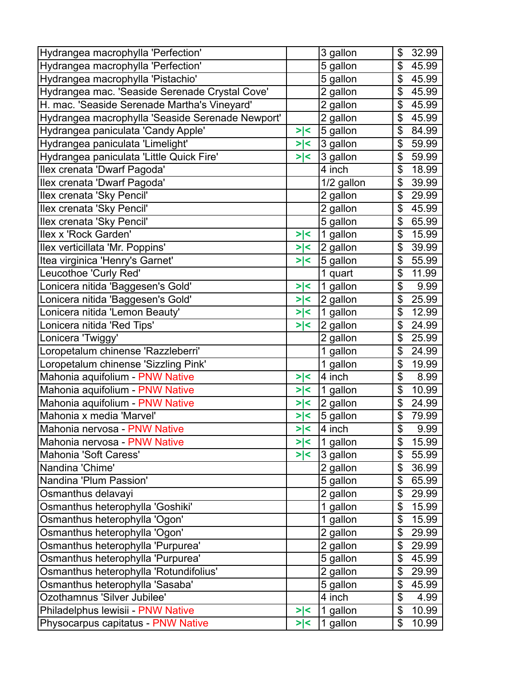| Hydrangea macrophylla 'Perfection'               |         | 3 gallon    | \$<br>32.99 |
|--------------------------------------------------|---------|-------------|-------------|
| Hydrangea macrophylla 'Perfection'               |         | 5 gallon    | \$<br>45.99 |
| Hydrangea macrophylla 'Pistachio'                |         | 5 gallon    | \$<br>45.99 |
| Hydrangea mac. 'Seaside Serenade Crystal Cove'   |         | 2 gallon    | \$<br>45.99 |
| H. mac. 'Seaside Serenade Martha's Vineyard'     |         | 2 gallon    | \$<br>45.99 |
| Hydrangea macrophylla 'Seaside Serenade Newport' |         | 2 gallon    | \$<br>45.99 |
| Hydrangea paniculata 'Candy Apple'               | >∣<     | 5 gallon    | \$<br>84.99 |
| Hydrangea paniculata 'Limelight'                 | > <     | 3 gallon    | \$<br>59.99 |
| Hydrangea paniculata 'Little Quick Fire'         | $>\, <$ | 3 gallon    | \$<br>59.99 |
| Ilex crenata 'Dwarf Pagoda'                      |         | 4 inch      | \$<br>18.99 |
| Ilex crenata 'Dwarf Pagoda'                      |         | 1/2 gallon  | \$<br>39.99 |
| Ilex crenata 'Sky Pencil'                        |         | 2 gallon    | \$<br>29.99 |
| Ilex crenata 'Sky Pencil'                        |         | 2 gallon    | \$<br>45.99 |
| Ilex crenata 'Sky Pencil'                        |         | 5 gallon    | \$<br>65.99 |
| Ilex x 'Rock Garden'                             | >∣<     | 1 gallon    | \$<br>15.99 |
| Ilex verticillata 'Mr. Poppins'                  | > <     | 2 gallon    | \$<br>39.99 |
| Itea virginica 'Henry's Garnet'                  | > <     | 5 gallon    | \$<br>55.99 |
| Leucothoe 'Curly Red'                            |         | 1 quart     | \$<br>11.99 |
| Lonicera nitida 'Baggesen's Gold'                | > <     | 1 gallon    | \$<br>9.99  |
| Lonicera nitida 'Baggesen's Gold'                | > <     | $ 2$ gallon | \$<br>25.99 |
| Lonicera nitida 'Lemon Beauty'                   | > <     | 1 gallon    | \$<br>12.99 |
| Lonicera nitida 'Red Tips'                       | >∣<     | 2 gallon    | \$<br>24.99 |
| Lonicera 'Twiggy'                                |         | 2 gallon    | \$<br>25.99 |
| Loropetalum chinense 'Razzleberri'               |         | 1 gallon    | \$<br>24.99 |
| Loropetalum chinense 'Sizzling Pink'             |         | 1 gallon    | \$<br>19.99 |
| Mahonia aquifolium - PNW Native                  | > <     | 4 inch      | \$<br>8.99  |
| Mahonia aquifolium - PNW Native                  | >∣<     | $1$ gallon  | \$<br>10.99 |
| Mahonia aquifolium - PNW Native                  | >∣<     | 2 gallon    | \$<br>24.99 |
| Mahonia x media 'Marvel'                         | > <     | 5 gallon    | \$<br>79.99 |
| Mahonia nervosa - PNW Native                     | > <     | 4 inch      | \$<br>9.99  |
| Mahonia nervosa - PNW Native                     | >∣<     | 1 gallon    | \$<br>15.99 |
| Mahonia 'Soft Caress'                            | > <     | 3 gallon    | \$<br>55.99 |
| Nandina 'Chime'                                  |         | 2 gallon    | \$<br>36.99 |
| Nandina 'Plum Passion'                           |         | 5 gallon    | \$<br>65.99 |
| Osmanthus delavayi                               |         | 2 gallon    | \$<br>29.99 |
| Osmanthus heterophylla 'Goshiki'                 |         | 1 gallon    | \$<br>15.99 |
| Osmanthus heterophylla 'Ogon'                    |         | 1 gallon    | \$<br>15.99 |
| Osmanthus heterophylla 'Ogon'                    |         | 2 gallon    | \$<br>29.99 |
| Osmanthus heterophylla 'Purpurea'                |         | 2 gallon    | \$<br>29.99 |
| Osmanthus heterophylla 'Purpurea'                |         | 5 gallon    | \$<br>45.99 |
| Osmanthus heterophylla 'Rotundifolius'           |         | 2 gallon    | \$<br>29.99 |
| Osmanthus heterophylla 'Sasaba'                  |         | 5 gallon    | \$<br>45.99 |
| Ozothamnus 'Silver Jubilee'                      |         | 4 inch      | \$<br>4.99  |
| Philadelphus lewisii - PNW Native                | > <     | 1 gallon    | \$<br>10.99 |
| Physocarpus capitatus - PNW Native               | > <     | 1 gallon    | \$<br>10.99 |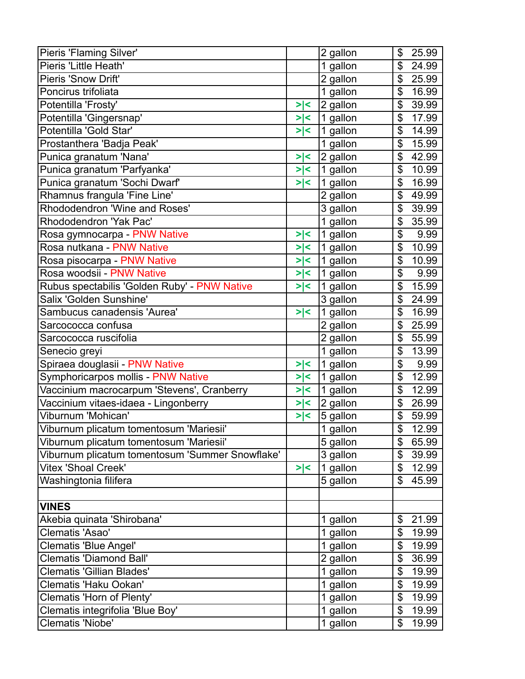| Pieris 'Flaming Silver'                         |         | 2 gallon | \$                        | 25.99 |
|-------------------------------------------------|---------|----------|---------------------------|-------|
| Pieris 'Little Heath'                           |         | 1 gallon | \$                        | 24.99 |
| Pieris 'Snow Drift'                             |         | 2 gallon | \$                        | 25.99 |
| Poncirus trifoliata                             |         | 1 gallon | \$                        | 16.99 |
| Potentilla 'Frosty'                             | > <     | 2 gallon | \$                        | 39.99 |
| Potentilla 'Gingersnap'                         | > <     | 1 gallon | \$                        | 17.99 |
| Potentilla 'Gold Star'                          | > <     | 1 gallon | \$                        | 14.99 |
| Prostanthera 'Badja Peak'                       |         | 1 gallon | \$                        | 15.99 |
| Punica granatum 'Nana'                          | > <     | 2 gallon | \$                        | 42.99 |
| Punica granatum 'Parfyanka'                     | > <     | 1 gallon | \$                        | 10.99 |
| Punica granatum 'Sochi Dwarf'                   | > <     | 1 gallon | \$                        | 16.99 |
| Rhamnus frangula 'Fine Line'                    |         | 2 gallon | \$                        | 49.99 |
| Rhododendron 'Wine and Roses'                   |         | 3 gallon | \$                        | 39.99 |
| Rhododendron 'Yak Pac'                          |         | 1 gallon | \$                        | 35.99 |
| Rosa gymnocarpa - PNW Native                    | > <     | 1 gallon | \$                        | 9.99  |
| Rosa nutkana - PNW Native                       | > <     | 1 gallon | \$                        | 10.99 |
| Rosa pisocarpa - PNW Native                     | > <     | 1 gallon | \$                        | 10.99 |
| Rosa woodsii - PNW Native                       | > <     | 1 gallon | \$                        | 9.99  |
| Rubus spectabilis 'Golden Ruby' - PNW Native    | > <     | 1 gallon | \$                        | 15.99 |
| Salix 'Golden Sunshine'                         |         | 3 gallon | \$                        | 24.99 |
| Sambucus canadensis 'Aurea'                     | > <     | 1 gallon | \$                        | 16.99 |
| Sarcococca confusa                              |         | 2 gallon | \$                        | 25.99 |
| Sarcococca ruscifolia                           |         | 2 gallon | \$                        | 55.99 |
| Senecio greyi                                   |         | 1 gallon | \$                        | 13.99 |
| Spiraea douglasii - PNW Native                  | >∣<     | 1 gallon | \$                        | 9.99  |
| Symphoricarpos mollis - PNW Native              | >∣<     | 1 gallon | \$                        | 12.99 |
| Vaccinium macrocarpum 'Stevens', Cranberry      | >∣<     | 1 gallon | \$                        | 12.99 |
| Vaccinium vitaes-idaea - Lingonberry            | $>\, <$ | 2 gallon | \$                        | 26.99 |
| Viburnum 'Mohican'                              | > <     | 5 gallon | \$                        | 59.99 |
| Viburnum plicatum tomentosum 'Mariesii'         |         | 1 gallon | \$                        | 12.99 |
| Viburnum plicatum tomentosum 'Mariesii'         |         | 5 gallon | \$                        | 65.99 |
| Viburnum plicatum tomentosum 'Summer Snowflake' |         | 3 gallon | \$                        | 39.99 |
| Vitex 'Shoal Creek'                             | > <     | 1 gallon | $\boldsymbol{\mathsf{S}}$ | 12.99 |
| Washingtonia filifera                           |         | 5 gallon | \$                        | 45.99 |
|                                                 |         |          |                           |       |
| <b>VINES</b>                                    |         |          |                           |       |
| Akebia quinata 'Shirobana'                      |         | 1 gallon | \$                        | 21.99 |
| Clematis 'Asao'                                 |         | 1 gallon | \$                        | 19.99 |
| Clematis 'Blue Angel'                           |         | 1 gallon | \$                        | 19.99 |
| <b>Clematis 'Diamond Ball'</b>                  |         | 2 gallon | \$                        | 36.99 |
| <b>Clematis 'Gillian Blades'</b>                |         | 1 gallon | \$                        | 19.99 |
| Clematis 'Haku Ookan'                           |         | 1 gallon | $\boldsymbol{\mathsf{S}}$ | 19.99 |
| Clematis 'Horn of Plenty'                       |         | 1 gallon | \$                        | 19.99 |
| Clematis integrifolia 'Blue Boy'                |         | 1 gallon | $\boldsymbol{\mathsf{S}}$ | 19.99 |
| Clematis 'Niobe'                                |         | 1 gallon | \$                        | 19.99 |